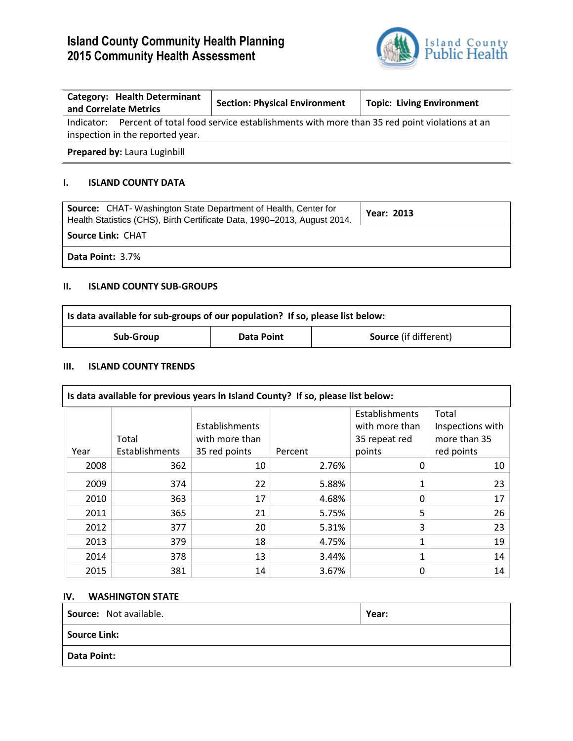# **Island County Community Health Planning 2015 Community Health Assessment**



| <b>Category: Health Determinant</b><br>and Correlate Metrics                                            | <b>Section: Physical Environment</b> | <b>Topic: Living Environment</b> |  |  |
|---------------------------------------------------------------------------------------------------------|--------------------------------------|----------------------------------|--|--|
| Percent of total food service establishments with more than 35 red point violations at an<br>Indicator: |                                      |                                  |  |  |
| inspection in the reported year.                                                                        |                                      |                                  |  |  |
| <b>Prepared by: Laura Luginbill</b>                                                                     |                                      |                                  |  |  |

## **I. ISLAND COUNTY DATA**

| <b>Source:</b> CHAT-Washington State Department of Health, Center for<br>Health Statistics (CHS), Birth Certificate Data, 1990–2013, August 2014. | <b>Year: 2013</b> |  |  |
|---------------------------------------------------------------------------------------------------------------------------------------------------|-------------------|--|--|
| <b>Source Link: CHAT</b>                                                                                                                          |                   |  |  |
|                                                                                                                                                   |                   |  |  |

**Data Point:** 3.7%

#### **II. ISLAND COUNTY SUB-GROUPS**

| Is data available for sub-groups of our population? If so, please list below: |                   |                              |  |
|-------------------------------------------------------------------------------|-------------------|------------------------------|--|
| Sub-Group                                                                     | <b>Data Point</b> | <b>Source</b> (if different) |  |

## **III. ISLAND COUNTY TRENDS**

| Is data available for previous years in Island County? If so, please list below: |                |                |         |                |                  |
|----------------------------------------------------------------------------------|----------------|----------------|---------|----------------|------------------|
|                                                                                  |                |                |         | Establishments | Total            |
|                                                                                  |                | Establishments |         | with more than | Inspections with |
|                                                                                  | Total          | with more than |         | 35 repeat red  | more than 35     |
| Year                                                                             | Establishments | 35 red points  | Percent | points         | red points       |
| 2008                                                                             | 362            | 10             | 2.76%   | 0              | 10               |
| 2009                                                                             | 374            | 22             | 5.88%   | 1              | 23               |
| 2010                                                                             | 363            | 17             | 4.68%   | 0              | 17               |
| 2011                                                                             | 365            | 21             | 5.75%   | 5              | 26               |
| 2012                                                                             | 377            | 20             | 5.31%   | 3              | 23               |
| 2013                                                                             | 379            | 18             | 4.75%   | $\mathbf{1}$   | 19               |
| 2014                                                                             | 378            | 13             | 3.44%   | 1              | 14               |
| 2015                                                                             | 381            | 14             | 3.67%   | 0              | 14               |

## **IV. WASHINGTON STATE**

| Source: Not available. | Year: |
|------------------------|-------|
| Source Link:           |       |
| Data Point:            |       |